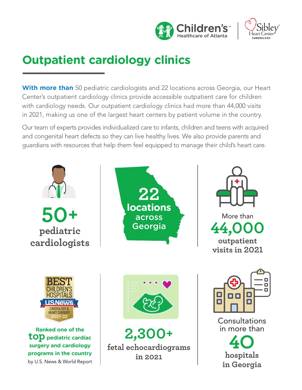



# **Outpatient cardiology clinics**

**With more than** 50 pediatric cardiologists and 22 locations across Georgia, our Heart Center's outpatient cardiology clinics provide accessible outpatient care for children with cardiology needs. Our outpatient cardiology clinics had more than 44,000 visits in 2021, making us one of the largest heart centers by patient volume in the country.

Our team of experts provides individualized care to infants, children and teens with acquired and congenital heart defects so they can live healthy lives. We also provide parents and guardians with resources that help them feel equipped to manage their child's heart care.